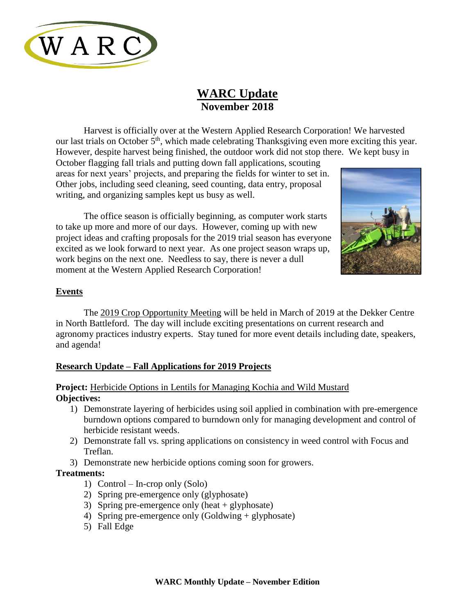

# **WARC Update November 2018**

Harvest is officially over at the Western Applied Research Corporation! We harvested our last trials on October 5th, which made celebrating Thanksgiving even more exciting this year. However, despite harvest being finished, the outdoor work did not stop there. We kept busy in

October flagging fall trials and putting down fall applications, scouting areas for next years' projects, and preparing the fields for winter to set in. Other jobs, including seed cleaning, seed counting, data entry, proposal writing, and organizing samples kept us busy as well.

The office season is officially beginning, as computer work starts to take up more and more of our days. However, coming up with new project ideas and crafting proposals for the 2019 trial season has everyone excited as we look forward to next year. As one project season wraps up, work begins on the next one. Needless to say, there is never a dull moment at the Western Applied Research Corporation!



#### **Events**

The 2019 Crop Opportunity Meeting will be held in March of 2019 at the Dekker Centre in North Battleford. The day will include exciting presentations on current research and agronomy practices industry experts. Stay tuned for more event details including date, speakers, and agenda!

## **Research Update – Fall Applications for 2019 Projects**

#### **Project:** Herbicide Options in Lentils for Managing Kochia and Wild Mustard **Objectives:**

- 1) Demonstrate layering of herbicides using soil applied in combination with pre-emergence burndown options compared to burndown only for managing development and control of herbicide resistant weeds.
- 2) Demonstrate fall vs. spring applications on consistency in weed control with Focus and Treflan.
- 3) Demonstrate new herbicide options coming soon for growers.

#### **Treatments:**

- 1) Control In-crop only (Solo)
- 2) Spring pre-emergence only (glyphosate)
- 3) Spring pre-emergence only (heat + glyphosate)
- 4) Spring pre-emergence only (Goldwing + glyphosate)
- 5) Fall Edge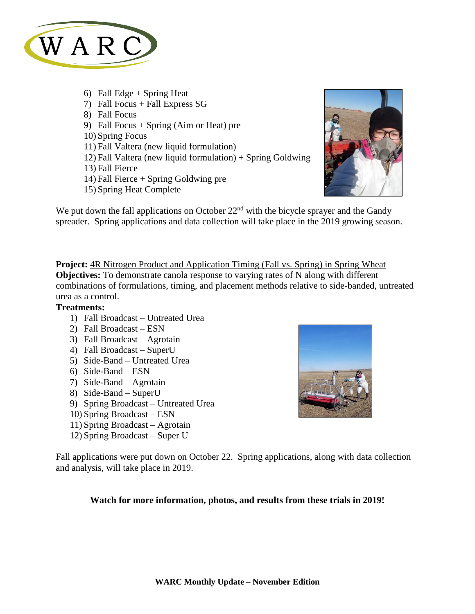

- 6) Fall Edge  $+$  Spring Heat 7) Fall Focus + Fall Express SG 8) Fall Focus 9) Fall Focus + Spring (Aim or Heat) pre 10) Spring Focus
- 11) Fall Valtera (new liquid formulation)
- 12) Fall Valtera (new liquid formulation) + Spring Goldwing 13) Fall Fierce
- 14) Fall Fierce + Spring Goldwing pre
- 15) Spring Heat Complete



We put down the fall applications on October  $22<sup>nd</sup>$  with the bicycle sprayer and the Gandy spreader. Spring applications and data collection will take place in the 2019 growing season.

**Project:** 4R Nitrogen Product and Application Timing (Fall vs. Spring) in Spring Wheat **Objectives:** To demonstrate canola response to varying rates of N along with different combinations of formulations, timing, and placement methods relative to side-banded, untreated urea as a control.

#### **Treatments:**

- 1) Fall Broadcast Untreated Urea
- 2) Fall Broadcast ESN
- 3) Fall Broadcast Agrotain
- 4) Fall Broadcast SuperU
- 5) Side-Band Untreated Urea
- 6) Side-Band ESN
- 7) Side-Band Agrotain
- 8) Side-Band SuperU
- 9) Spring Broadcast Untreated Urea
- 10) Spring Broadcast ESN
- 11) Spring Broadcast Agrotain
- 12) Spring Broadcast Super U



Fall applications were put down on October 22. Spring applications, along with data collection and analysis, will take place in 2019.

#### **Watch for more information, photos, and results from these trials in 2019!**